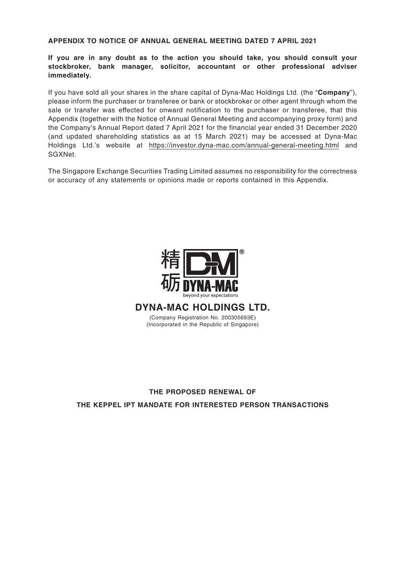## **APPENDIX TO NOTICE OF ANNUAL GENERAL MEETING DATED 7 APRIL 2021**

**If you are in any doubt as to the action you should take, you should consult your stockbroker, bank manager, solicitor, accountant or other professional adviser immediately.**

If you have sold all your shares in the share capital of Dyna-Mac Holdings Ltd. (the "**Company**"), please inform the purchaser or transferee or bank or stockbroker or other agent through whom the sale or transfer was effected for onward notification to the purchaser or transferee, that this Appendix (together with the Notice of Annual General Meeting and accompanying proxy form) and the Company's Annual Report dated 7 April 2021 for the financial year ended 31 December 2020 (and updated shareholding statistics as at 15 March 2021) may be accessed at Dyna-Mac Holdings Ltd.'s website at https://investor.dyna-mac.com/annual-general-meeting.html and SGXNet.

The Singapore Exchange Securities Trading Limited assumes no responsibility for the correctness or accuracy of any statements or opinions made or reports contained in this Appendix.



**DYNA-MAC HOLDINGS LTD.**

(Company Registration No. 200305693E) (Incorporated in the Republic of Singapore)

# **THE PROPOSED RENEWAL OF THE KEPPEL IPT MANDATE FOR INTERESTED PERSON TRANSACTIONS**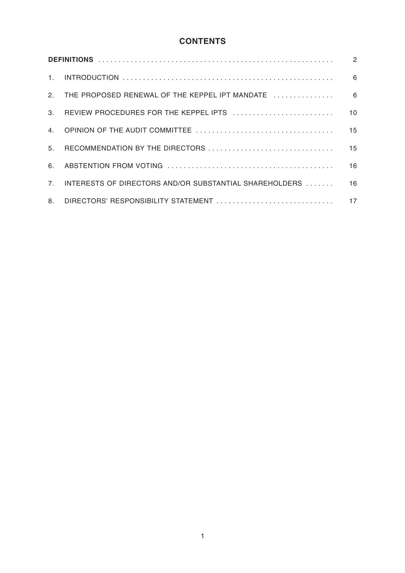## **CONTENTS**

| $2^{2}$        |                                                        |                 |  |  |
|----------------|--------------------------------------------------------|-----------------|--|--|
| 3.             | REVIEW PROCEDURES FOR THE KEPPEL IPTS                  | 10 <sup>1</sup> |  |  |
| 4 <sub>1</sub> |                                                        | 15              |  |  |
| 5 <sub>1</sub> | RECOMMENDATION BY THE DIRECTORS                        | 15              |  |  |
| 6.             |                                                        | 16              |  |  |
| 7 <sub>1</sub> | INTERESTS OF DIRECTORS AND/OR SUBSTANTIAL SHAREHOLDERS | 16              |  |  |
| 8.             | DIRECTORS' RESPONSIBILITY STATEMENT                    | 17              |  |  |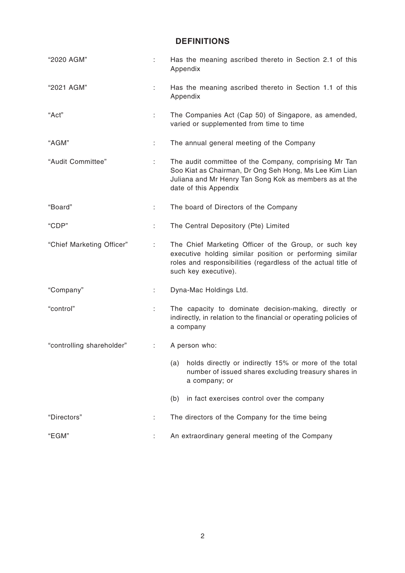## **DEFINITIONS**

| "2020 AGM"                |    | Has the meaning ascribed thereto in Section 2.1 of this<br>Appendix                                                                                                                                        |  |  |
|---------------------------|----|------------------------------------------------------------------------------------------------------------------------------------------------------------------------------------------------------------|--|--|
| "2021 AGM"                | ÷  | Has the meaning ascribed thereto in Section 1.1 of this<br>Appendix                                                                                                                                        |  |  |
| "Act"                     | ÷  | The Companies Act (Cap 50) of Singapore, as amended,<br>varied or supplemented from time to time                                                                                                           |  |  |
| "AGM"                     | ÷  | The annual general meeting of the Company                                                                                                                                                                  |  |  |
| "Audit Committee"         |    | The audit committee of the Company, comprising Mr Tan<br>Soo Kiat as Chairman, Dr Ong Seh Hong, Ms Lee Kim Lian<br>Juliana and Mr Henry Tan Song Kok as members as at the<br>date of this Appendix         |  |  |
| "Board"                   | ÷. | The board of Directors of the Company                                                                                                                                                                      |  |  |
| "CDP"                     | ÷  | The Central Depository (Pte) Limited                                                                                                                                                                       |  |  |
| "Chief Marketing Officer" | ÷  | The Chief Marketing Officer of the Group, or such key<br>executive holding similar position or performing similar<br>roles and responsibilities (regardless of the actual title of<br>such key executive). |  |  |
| "Company"                 | ÷. | Dyna-Mac Holdings Ltd.                                                                                                                                                                                     |  |  |
| "control"                 | ÷  | The capacity to dominate decision-making, directly or<br>indirectly, in relation to the financial or operating policies of<br>a company                                                                    |  |  |
| "controlling shareholder" |    | A person who:                                                                                                                                                                                              |  |  |
|                           |    | holds directly or indirectly 15% or more of the total<br>(a)<br>number of issued shares excluding treasury shares in<br>a company; or                                                                      |  |  |
|                           |    | (b)<br>in fact exercises control over the company                                                                                                                                                          |  |  |
| "Directors"               |    | The directors of the Company for the time being                                                                                                                                                            |  |  |
| "EGM"                     |    | An extraordinary general meeting of the Company                                                                                                                                                            |  |  |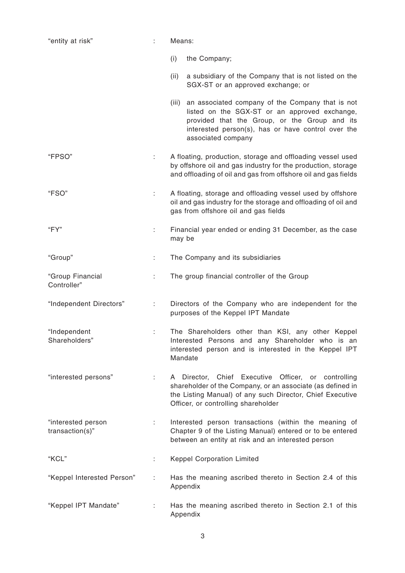| "entity at risk"                         | Means:<br>÷ |                                                                                                                                                                                                                                      |  |  |
|------------------------------------------|-------------|--------------------------------------------------------------------------------------------------------------------------------------------------------------------------------------------------------------------------------------|--|--|
|                                          |             | (i)<br>the Company;                                                                                                                                                                                                                  |  |  |
|                                          |             | (ii)<br>a subsidiary of the Company that is not listed on the<br>SGX-ST or an approved exchange; or                                                                                                                                  |  |  |
|                                          |             | (iii) an associated company of the Company that is not<br>listed on the SGX-ST or an approved exchange,<br>provided that the Group, or the Group and its<br>interested person(s), has or have control over the<br>associated company |  |  |
| "FPSO"                                   | ÷           | A floating, production, storage and offloading vessel used<br>by offshore oil and gas industry for the production, storage<br>and offloading of oil and gas from offshore oil and gas fields                                         |  |  |
| "FSO"                                    |             | A floating, storage and offloading vessel used by offshore<br>oil and gas industry for the storage and offloading of oil and<br>gas from offshore oil and gas fields                                                                 |  |  |
| "FY"                                     | ÷           | Financial year ended or ending 31 December, as the case<br>may be                                                                                                                                                                    |  |  |
| "Group"                                  | ÷           | The Company and its subsidiaries                                                                                                                                                                                                     |  |  |
| "Group Financial<br>Controller"          | ÷           | The group financial controller of the Group                                                                                                                                                                                          |  |  |
| "Independent Directors"                  | ÷           | Directors of the Company who are independent for the<br>purposes of the Keppel IPT Mandate                                                                                                                                           |  |  |
| "Independent<br>Shareholders"            |             | The Shareholders other than KSI, any other Keppel<br>Interested Persons and any Shareholder who is an<br>interested person and is interested in the Keppel IPT<br>Mandate                                                            |  |  |
| "interested persons"                     | ÷.          | A Director, Chief Executive Officer, or controlling<br>shareholder of the Company, or an associate (as defined in<br>the Listing Manual) of any such Director, Chief Executive<br>Officer, or controlling shareholder                |  |  |
| "interested person<br>$transaction(s)$ " |             | Interested person transactions (within the meaning of<br>Chapter 9 of the Listing Manual) entered or to be entered<br>between an entity at risk and an interested person                                                             |  |  |
| "KCL"                                    |             | <b>Keppel Corporation Limited</b>                                                                                                                                                                                                    |  |  |
| "Keppel Interested Person"               |             | Has the meaning ascribed thereto in Section 2.4 of this<br>Appendix                                                                                                                                                                  |  |  |
| "Keppel IPT Mandate"                     | ÷           | Has the meaning ascribed thereto in Section 2.1 of this<br>Appendix                                                                                                                                                                  |  |  |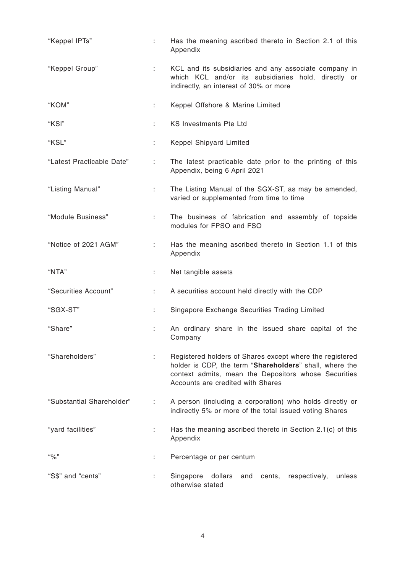| "Keppel IPTs"             | ÷. | Has the meaning ascribed thereto in Section 2.1 of this<br>Appendix                                                                                                                                              |  |  |  |
|---------------------------|----|------------------------------------------------------------------------------------------------------------------------------------------------------------------------------------------------------------------|--|--|--|
| "Keppel Group"            |    | KCL and its subsidiaries and any associate company in<br>which KCL and/or its subsidiaries hold, directly or<br>indirectly, an interest of 30% or more                                                           |  |  |  |
| "KOM"<br>÷.               |    | Keppel Offshore & Marine Limited                                                                                                                                                                                 |  |  |  |
| "KSI"<br>÷                |    | <b>KS Investments Pte Ltd</b>                                                                                                                                                                                    |  |  |  |
| "KSL"                     |    | Keppel Shipyard Limited                                                                                                                                                                                          |  |  |  |
| "Latest Practicable Date" |    | The latest practicable date prior to the printing of this<br>Appendix, being 6 April 2021                                                                                                                        |  |  |  |
| "Listing Manual"          |    | The Listing Manual of the SGX-ST, as may be amended,<br>varied or supplemented from time to time                                                                                                                 |  |  |  |
| "Module Business"<br>÷.   |    | The business of fabrication and assembly of topside<br>modules for FPSO and FSO                                                                                                                                  |  |  |  |
| "Notice of 2021 AGM"      |    | Has the meaning ascribed thereto in Section 1.1 of this<br>Appendix                                                                                                                                              |  |  |  |
| "NTA"                     | ÷  | Net tangible assets                                                                                                                                                                                              |  |  |  |
| "Securities Account"<br>÷ |    | A securities account held directly with the CDP                                                                                                                                                                  |  |  |  |
| "SGX-ST"<br>÷             |    | Singapore Exchange Securities Trading Limited                                                                                                                                                                    |  |  |  |
| "Share"<br>÷              |    | An ordinary share in the issued share capital of the<br>Company                                                                                                                                                  |  |  |  |
| "Shareholders"<br>÷       |    | Registered holders of Shares except where the registered<br>holder is CDP, the term "Shareholders" shall, where the<br>context admits, mean the Depositors whose Securities<br>Accounts are credited with Shares |  |  |  |
|                           |    |                                                                                                                                                                                                                  |  |  |  |
| "Substantial Shareholder" | ÷  | A person (including a corporation) who holds directly or<br>indirectly 5% or more of the total issued voting Shares                                                                                              |  |  |  |
| "yard facilities"         | ÷  | Has the meaning ascribed thereto in Section 2.1(c) of this<br>Appendix                                                                                                                                           |  |  |  |
| $``\%"$                   | ÷. | Percentage or per centum                                                                                                                                                                                         |  |  |  |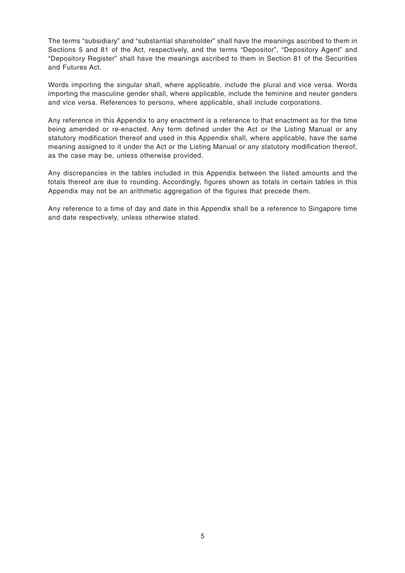The terms "subsidiary" and "substantial shareholder" shall have the meanings ascribed to them in Sections 5 and 81 of the Act, respectively, and the terms "Depositor", "Depository Agent" and "Depository Register" shall have the meanings ascribed to them in Section 81 of the Securities and Futures Act.

Words importing the singular shall, where applicable, include the plural and vice versa. Words importing the masculine gender shall, where applicable, include the feminine and neuter genders and vice versa. References to persons, where applicable, shall include corporations.

Any reference in this Appendix to any enactment is a reference to that enactment as for the time being amended or re-enacted. Any term defined under the Act or the Listing Manual or any statutory modification thereof and used in this Appendix shall, where applicable, have the same meaning assigned to it under the Act or the Listing Manual or any statutory modification thereof, as the case may be, unless otherwise provided.

Any discrepancies in the tables included in this Appendix between the listed amounts and the totals thereof are due to rounding. Accordingly, figures shown as totals in certain tables in this Appendix may not be an arithmetic aggregation of the figures that precede them.

Any reference to a time of day and date in this Appendix shall be a reference to Singapore time and date respectively, unless otherwise stated.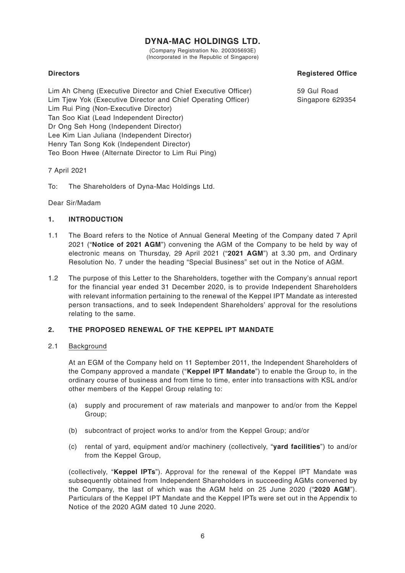## **DYNA-MAC HOLDINGS LTD.**

(Company Registration No. 200305693E) (Incorporated in the Republic of Singapore)

## **Directors**

Lim Ah Cheng (Executive Director and Chief Executive Officer) Lim Tjew Yok (Executive Director and Chief Operating Officer) Lim Rui Ping (Non-Executive Director) Tan Soo Kiat (Lead Independent Director) Dr Ong Seh Hong (Independent Director) Lee Kim Lian Juliana (Independent Director) Henry Tan Song Kok (Independent Director) Teo Boon Hwee (Alternate Director to Lim Rui Ping)

7 April 2021

To: The Shareholders of Dyna-Mac Holdings Ltd.

Dear Sir/Madam

## **1. INTRODUCTION**

- 1.1 The Board refers to the Notice of Annual General Meeting of the Company dated 7 April 2021 ("**Notice of 2021 AGM**") convening the AGM of the Company to be held by way of electronic means on Thursday, 29 April 2021 ("**2021 AGM**") at 3.30 pm, and Ordinary Resolution No. 7 under the heading "Special Business" set out in the Notice of AGM.
- 1.2 The purpose of this Letter to the Shareholders, together with the Company's annual report for the financial year ended 31 December 2020, is to provide Independent Shareholders with relevant information pertaining to the renewal of the Keppel IPT Mandate as interested person transactions, and to seek Independent Shareholders' approval for the resolutions relating to the same.

## **2. THE PROPOSED RENEWAL OF THE KEPPEL IPT MANDATE**

## 2.1 Background

At an EGM of the Company held on 11 September 2011, the Independent Shareholders of the Company approved a mandate ("**Keppel IPT Mandate**") to enable the Group to, in the ordinary course of business and from time to time, enter into transactions with KSL and/or other members of the Keppel Group relating to:

- (a) supply and procurement of raw materials and manpower to and/or from the Keppel Group;
- (b) subcontract of project works to and/or from the Keppel Group; and/or
- (c) rental of yard, equipment and/or machinery (collectively, "**yard facilities**") to and/or from the Keppel Group,

(collectively, "**Keppel IPTs**"). Approval for the renewal of the Keppel IPT Mandate was subsequently obtained from Independent Shareholders in succeeding AGMs convened by the Company, the last of which was the AGM held on 25 June 2020 ("**2020 AGM**"). Particulars of the Keppel IPT Mandate and the Keppel IPTs were set out in the Appendix to Notice of the 2020 AGM dated 10 June 2020.

## **Registered Office**

59 Gul Road Singapore 629354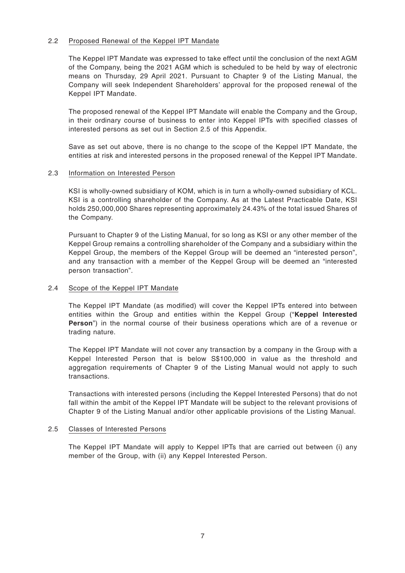## 2.2 Proposed Renewal of the Keppel IPT Mandate

The Keppel IPT Mandate was expressed to take effect until the conclusion of the next AGM of the Company, being the 2021 AGM which is scheduled to be held by way of electronic means on Thursday, 29 April 2021. Pursuant to Chapter 9 of the Listing Manual, the Company will seek Independent Shareholders' approval for the proposed renewal of the Keppel IPT Mandate.

The proposed renewal of the Keppel IPT Mandate will enable the Company and the Group, in their ordinary course of business to enter into Keppel IPTs with specified classes of interested persons as set out in Section 2.5 of this Appendix.

Save as set out above, there is no change to the scope of the Keppel IPT Mandate, the entities at risk and interested persons in the proposed renewal of the Keppel IPT Mandate.

#### 2.3 Information on Interested Person

KSI is wholly-owned subsidiary of KOM, which is in turn a wholly-owned subsidiary of KCL. KSI is a controlling shareholder of the Company. As at the Latest Practicable Date, KSI holds 250,000,000 Shares representing approximately 24.43% of the total issued Shares of the Company.

Pursuant to Chapter 9 of the Listing Manual, for so long as KSI or any other member of the Keppel Group remains a controlling shareholder of the Company and a subsidiary within the Keppel Group, the members of the Keppel Group will be deemed an "interested person", and any transaction with a member of the Keppel Group will be deemed an "interested person transaction".

#### 2.4 Scope of the Keppel IPT Mandate

The Keppel IPT Mandate (as modified) will cover the Keppel IPTs entered into between entities within the Group and entities within the Keppel Group ("**Keppel Interested Person**") in the normal course of their business operations which are of a revenue or trading nature.

The Keppel IPT Mandate will not cover any transaction by a company in the Group with a Keppel Interested Person that is below S\$100,000 in value as the threshold and aggregation requirements of Chapter 9 of the Listing Manual would not apply to such transactions.

Transactions with interested persons (including the Keppel Interested Persons) that do not fall within the ambit of the Keppel IPT Mandate will be subject to the relevant provisions of Chapter 9 of the Listing Manual and/or other applicable provisions of the Listing Manual.

#### 2.5 Classes of Interested Persons

The Keppel IPT Mandate will apply to Keppel IPTs that are carried out between (i) any member of the Group, with (ii) any Keppel Interested Person.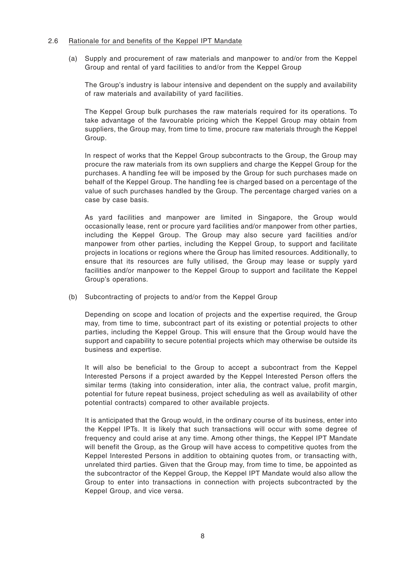### 2.6 Rationale for and benefits of the Keppel IPT Mandate

(a) Supply and procurement of raw materials and manpower to and/or from the Keppel Group and rental of yard facilities to and/or from the Keppel Group

The Group's industry is labour intensive and dependent on the supply and availability of raw materials and availability of yard facilities.

The Keppel Group bulk purchases the raw materials required for its operations. To take advantage of the favourable pricing which the Keppel Group may obtain from suppliers, the Group may, from time to time, procure raw materials through the Keppel Group.

In respect of works that the Keppel Group subcontracts to the Group, the Group may procure the raw materials from its own suppliers and charge the Keppel Group for the purchases. A handling fee will be imposed by the Group for such purchases made on behalf of the Keppel Group. The handling fee is charged based on a percentage of the value of such purchases handled by the Group. The percentage charged varies on a case by case basis.

As yard facilities and manpower are limited in Singapore, the Group would occasionally lease, rent or procure yard facilities and/or manpower from other parties, including the Keppel Group. The Group may also secure yard facilities and/or manpower from other parties, including the Keppel Group, to support and facilitate projects in locations or regions where the Group has limited resources. Additionally, to ensure that its resources are fully utilised, the Group may lease or supply yard facilities and/or manpower to the Keppel Group to support and facilitate the Keppel Group's operations.

(b) Subcontracting of projects to and/or from the Keppel Group

Depending on scope and location of projects and the expertise required, the Group may, from time to time, subcontract part of its existing or potential projects to other parties, including the Keppel Group. This will ensure that the Group would have the support and capability to secure potential projects which may otherwise be outside its business and expertise.

It will also be beneficial to the Group to accept a subcontract from the Keppel Interested Persons if a project awarded by the Keppel Interested Person offers the similar terms (taking into consideration, inter alia, the contract value, profit margin, potential for future repeat business, project scheduling as well as availability of other potential contracts) compared to other available projects.

It is anticipated that the Group would, in the ordinary course of its business, enter into the Keppel IPTs. It is likely that such transactions will occur with some degree of frequency and could arise at any time. Among other things, the Keppel IPT Mandate will benefit the Group, as the Group will have access to competitive quotes from the Keppel Interested Persons in addition to obtaining quotes from, or transacting with, unrelated third parties. Given that the Group may, from time to time, be appointed as the subcontractor of the Keppel Group, the Keppel IPT Mandate would also allow the Group to enter into transactions in connection with projects subcontracted by the Keppel Group, and vice versa.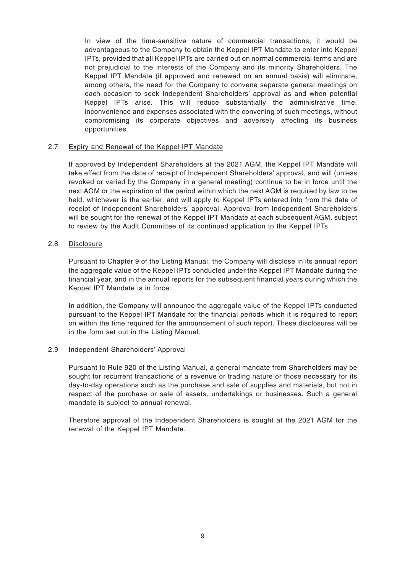In view of the time-sensitive nature of commercial transactions, it would be advantageous to the Company to obtain the Keppel IPT Mandate to enter into Keppel IPTs, provided that all Keppel IPTs are carried out on normal commercial terms and are not prejudicial to the interests of the Company and its minority Shareholders. The Keppel IPT Mandate (if approved and renewed on an annual basis) will eliminate, among others, the need for the Company to convene separate general meetings on each occasion to seek Independent Shareholders' approval as and when potential Keppel IPTs arise. This will reduce substantially the administrative time, inconvenience and expenses associated with the convening of such meetings, without compromising its corporate objectives and adversely affecting its business opportunities.

### 2.7 Expiry and Renewal of the Keppel IPT Mandate

If approved by Independent Shareholders at the 2021 AGM, the Keppel IPT Mandate will take effect from the date of receipt of Independent Shareholders' approval, and will (unless revoked or varied by the Company in a general meeting) continue to be in force until the next AGM or the expiration of the period within which the next AGM is required by law to be held, whichever is the earlier, and will apply to Keppel IPTs entered into from the date of receipt of Independent Shareholders' approval. Approval from Independent Shareholders will be sought for the renewal of the Keppel IPT Mandate at each subsequent AGM, subject to review by the Audit Committee of its continued application to the Keppel IPTs.

## 2.8 Disclosure

Pursuant to Chapter 9 of the Listing Manual, the Company will disclose in its annual report the aggregate value of the Keppel IPTs conducted under the Keppel IPT Mandate during the financial year, and in the annual reports for the subsequent financial years during which the Keppel IPT Mandate is in force.

In addition, the Company will announce the aggregate value of the Keppel IPTs conducted pursuant to the Keppel IPT Mandate for the financial periods which it is required to report on within the time required for the announcement of such report. These disclosures will be in the form set out in the Listing Manual.

#### 2.9 Independent Shareholders' Approval

Pursuant to Rule 920 of the Listing Manual, a general mandate from Shareholders may be sought for recurrent transactions of a revenue or trading nature or those necessary for its day-to-day operations such as the purchase and sale of supplies and materials, but not in respect of the purchase or sale of assets, undertakings or businesses. Such a general mandate is subject to annual renewal.

Therefore approval of the Independent Shareholders is sought at the 2021 AGM for the renewal of the Keppel IPT Mandate.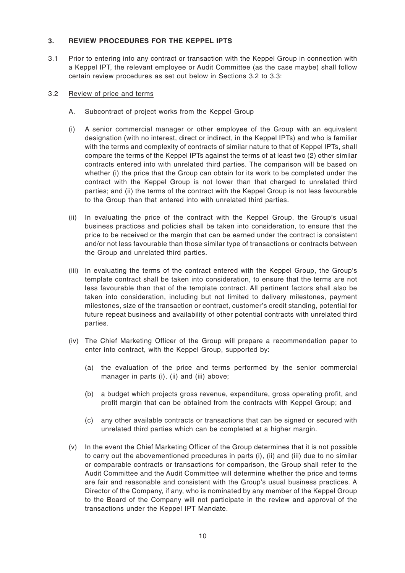## **3. REVIEW PROCEDURES FOR THE KEPPEL IPTS**

3.1 Prior to entering into any contract or transaction with the Keppel Group in connection with a Keppel IPT, the relevant employee or Audit Committee (as the case maybe) shall follow certain review procedures as set out below in Sections 3.2 to 3.3:

## 3.2 Review of price and terms

- A. Subcontract of project works from the Keppel Group
- (i) A senior commercial manager or other employee of the Group with an equivalent designation (with no interest, direct or indirect, in the Keppel IPTs) and who is familiar with the terms and complexity of contracts of similar nature to that of Keppel IPTs, shall compare the terms of the Keppel IPTs against the terms of at least two (2) other similar contracts entered into with unrelated third parties. The comparison will be based on whether (i) the price that the Group can obtain for its work to be completed under the contract with the Keppel Group is not lower than that charged to unrelated third parties; and (ii) the terms of the contract with the Keppel Group is not less favourable to the Group than that entered into with unrelated third parties.
- (ii) In evaluating the price of the contract with the Keppel Group, the Group's usual business practices and policies shall be taken into consideration, to ensure that the price to be received or the margin that can be earned under the contract is consistent and/or not less favourable than those similar type of transactions or contracts between the Group and unrelated third parties.
- (iii) In evaluating the terms of the contract entered with the Keppel Group, the Group's template contract shall be taken into consideration, to ensure that the terms are not less favourable than that of the template contract. All pertinent factors shall also be taken into consideration, including but not limited to delivery milestones, payment milestones, size of the transaction or contract, customer's credit standing, potential for future repeat business and availability of other potential contracts with unrelated third parties.
- (iv) The Chief Marketing Officer of the Group will prepare a recommendation paper to enter into contract, with the Keppel Group, supported by:
	- (a) the evaluation of the price and terms performed by the senior commercial manager in parts (i), (ii) and (iii) above;
	- (b) a budget which projects gross revenue, expenditure, gross operating profit, and profit margin that can be obtained from the contracts with Keppel Group; and
	- (c) any other available contracts or transactions that can be signed or secured with unrelated third parties which can be completed at a higher margin.
- (v) In the event the Chief Marketing Officer of the Group determines that it is not possible to carry out the abovementioned procedures in parts (i), (ii) and (iii) due to no similar or comparable contracts or transactions for comparison, the Group shall refer to the Audit Committee and the Audit Committee will determine whether the price and terms are fair and reasonable and consistent with the Group's usual business practices. A Director of the Company, if any, who is nominated by any member of the Keppel Group to the Board of the Company will not participate in the review and approval of the transactions under the Keppel IPT Mandate.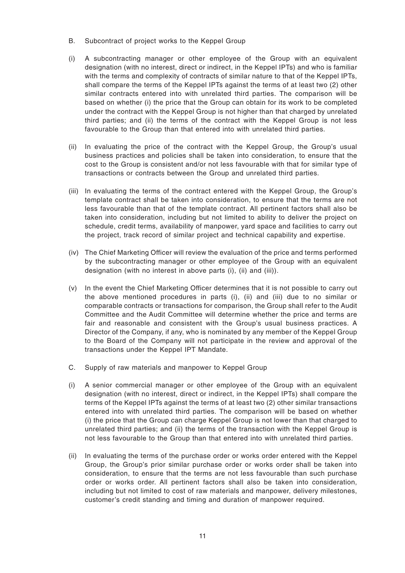- B. Subcontract of project works to the Keppel Group
- (i) A subcontracting manager or other employee of the Group with an equivalent designation (with no interest, direct or indirect, in the Keppel IPTs) and who is familiar with the terms and complexity of contracts of similar nature to that of the Keppel IPTs, shall compare the terms of the Keppel IPTs against the terms of at least two (2) other similar contracts entered into with unrelated third parties. The comparison will be based on whether (i) the price that the Group can obtain for its work to be completed under the contract with the Keppel Group is not higher than that charged by unrelated third parties; and (ii) the terms of the contract with the Keppel Group is not less favourable to the Group than that entered into with unrelated third parties.
- (ii) In evaluating the price of the contract with the Keppel Group, the Group's usual business practices and policies shall be taken into consideration, to ensure that the cost to the Group is consistent and/or not less favourable with that for similar type of transactions or contracts between the Group and unrelated third parties.
- (iii) In evaluating the terms of the contract entered with the Keppel Group, the Group's template contract shall be taken into consideration, to ensure that the terms are not less favourable than that of the template contract. All pertinent factors shall also be taken into consideration, including but not limited to ability to deliver the project on schedule, credit terms, availability of manpower, yard space and facilities to carry out the project, track record of similar project and technical capability and expertise.
- (iv) The Chief Marketing Officer will review the evaluation of the price and terms performed by the subcontracting manager or other employee of the Group with an equivalent designation (with no interest in above parts (i), (ii) and (iii)).
- (v) In the event the Chief Marketing Officer determines that it is not possible to carry out the above mentioned procedures in parts (i), (ii) and (iii) due to no similar or comparable contracts or transactions for comparison, the Group shall refer to the Audit Committee and the Audit Committee will determine whether the price and terms are fair and reasonable and consistent with the Group's usual business practices. A Director of the Company, if any, who is nominated by any member of the Keppel Group to the Board of the Company will not participate in the review and approval of the transactions under the Keppel IPT Mandate.
- C. Supply of raw materials and manpower to Keppel Group
- (i) A senior commercial manager or other employee of the Group with an equivalent designation (with no interest, direct or indirect, in the Keppel IPTs) shall compare the terms of the Keppel IPTs against the terms of at least two (2) other similar transactions entered into with unrelated third parties. The comparison will be based on whether (i) the price that the Group can charge Keppel Group is not lower than that charged to unrelated third parties; and (ii) the terms of the transaction with the Keppel Group is not less favourable to the Group than that entered into with unrelated third parties.
- (ii) In evaluating the terms of the purchase order or works order entered with the Keppel Group, the Group's prior similar purchase order or works order shall be taken into consideration, to ensure that the terms are not less favourable than such purchase order or works order. All pertinent factors shall also be taken into consideration, including but not limited to cost of raw materials and manpower, delivery milestones, customer's credit standing and timing and duration of manpower required.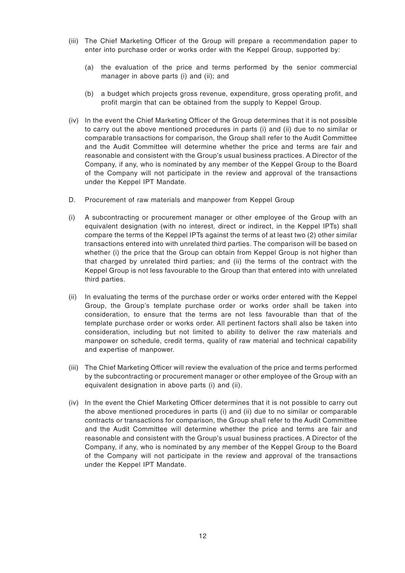- (iii) The Chief Marketing Officer of the Group will prepare a recommendation paper to enter into purchase order or works order with the Keppel Group, supported by:
	- (a) the evaluation of the price and terms performed by the senior commercial manager in above parts (i) and (ii); and
	- (b) a budget which projects gross revenue, expenditure, gross operating profit, and profit margin that can be obtained from the supply to Keppel Group.
- (iv) In the event the Chief Marketing Officer of the Group determines that it is not possible to carry out the above mentioned procedures in parts (i) and (ii) due to no similar or comparable transactions for comparison, the Group shall refer to the Audit Committee and the Audit Committee will determine whether the price and terms are fair and reasonable and consistent with the Group's usual business practices. A Director of the Company, if any, who is nominated by any member of the Keppel Group to the Board of the Company will not participate in the review and approval of the transactions under the Keppel IPT Mandate.
- D. Procurement of raw materials and manpower from Keppel Group
- (i) A subcontracting or procurement manager or other employee of the Group with an equivalent designation (with no interest, direct or indirect, in the Keppel IPTs) shall compare the terms of the Keppel IPTs against the terms of at least two (2) other similar transactions entered into with unrelated third parties. The comparison will be based on whether (i) the price that the Group can obtain from Keppel Group is not higher than that charged by unrelated third parties; and (ii) the terms of the contract with the Keppel Group is not less favourable to the Group than that entered into with unrelated third parties.
- (ii) In evaluating the terms of the purchase order or works order entered with the Keppel Group, the Group's template purchase order or works order shall be taken into consideration, to ensure that the terms are not less favourable than that of the template purchase order or works order. All pertinent factors shall also be taken into consideration, including but not limited to ability to deliver the raw materials and manpower on schedule, credit terms, quality of raw material and technical capability and expertise of manpower.
- (iii) The Chief Marketing Officer will review the evaluation of the price and terms performed by the subcontracting or procurement manager or other employee of the Group with an equivalent designation in above parts (i) and (ii).
- (iv) In the event the Chief Marketing Officer determines that it is not possible to carry out the above mentioned procedures in parts (i) and (ii) due to no similar or comparable contracts or transactions for comparison, the Group shall refer to the Audit Committee and the Audit Committee will determine whether the price and terms are fair and reasonable and consistent with the Group's usual business practices. A Director of the Company, if any, who is nominated by any member of the Keppel Group to the Board of the Company will not participate in the review and approval of the transactions under the Keppel IPT Mandate.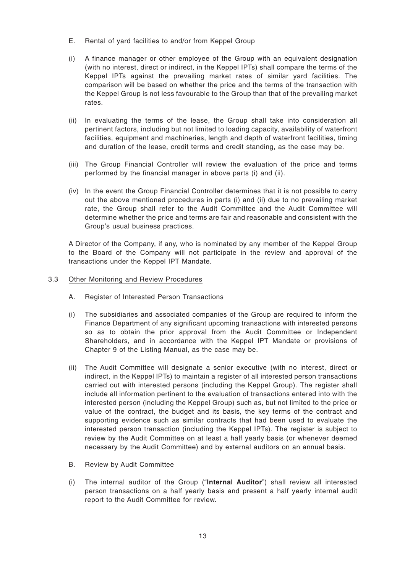- E. Rental of yard facilities to and/or from Keppel Group
- (i) A finance manager or other employee of the Group with an equivalent designation (with no interest, direct or indirect, in the Keppel IPTs) shall compare the terms of the Keppel IPTs against the prevailing market rates of similar yard facilities. The comparison will be based on whether the price and the terms of the transaction with the Keppel Group is not less favourable to the Group than that of the prevailing market rates.
- (ii) In evaluating the terms of the lease, the Group shall take into consideration all pertinent factors, including but not limited to loading capacity, availability of waterfront facilities, equipment and machineries, length and depth of waterfront facilities, timing and duration of the lease, credit terms and credit standing, as the case may be.
- (iii) The Group Financial Controller will review the evaluation of the price and terms performed by the financial manager in above parts (i) and (ii).
- (iv) In the event the Group Financial Controller determines that it is not possible to carry out the above mentioned procedures in parts (i) and (ii) due to no prevailing market rate, the Group shall refer to the Audit Committee and the Audit Committee will determine whether the price and terms are fair and reasonable and consistent with the Group's usual business practices.

A Director of the Company, if any, who is nominated by any member of the Keppel Group to the Board of the Company will not participate in the review and approval of the transactions under the Keppel IPT Mandate.

- 3.3 Other Monitoring and Review Procedures
	- A. Register of Interested Person Transactions
	- (i) The subsidiaries and associated companies of the Group are required to inform the Finance Department of any significant upcoming transactions with interested persons so as to obtain the prior approval from the Audit Committee or Independent Shareholders, and in accordance with the Keppel IPT Mandate or provisions of Chapter 9 of the Listing Manual, as the case may be.
	- (ii) The Audit Committee will designate a senior executive (with no interest, direct or indirect, in the Keppel IPTs) to maintain a register of all interested person transactions carried out with interested persons (including the Keppel Group). The register shall include all information pertinent to the evaluation of transactions entered into with the interested person (including the Keppel Group) such as, but not limited to the price or value of the contract, the budget and its basis, the key terms of the contract and supporting evidence such as similar contracts that had been used to evaluate the interested person transaction (including the Keppel IPTs). The register is subject to review by the Audit Committee on at least a half yearly basis (or whenever deemed necessary by the Audit Committee) and by external auditors on an annual basis.
	- B. Review by Audit Committee
	- (i) The internal auditor of the Group ("**Internal Auditor**") shall review all interested person transactions on a half yearly basis and present a half yearly internal audit report to the Audit Committee for review.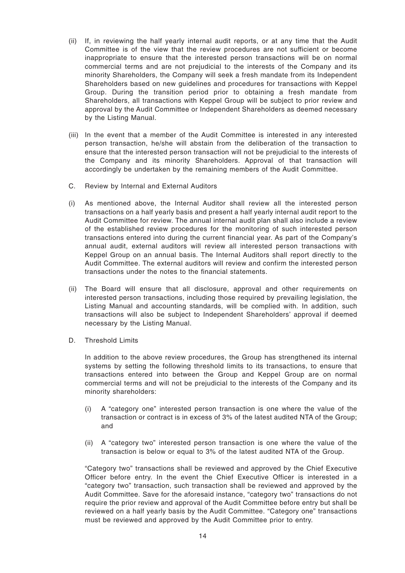- (ii) If, in reviewing the half yearly internal audit reports, or at any time that the Audit Committee is of the view that the review procedures are not sufficient or become inappropriate to ensure that the interested person transactions will be on normal commercial terms and are not prejudicial to the interests of the Company and its minority Shareholders, the Company will seek a fresh mandate from its Independent Shareholders based on new guidelines and procedures for transactions with Keppel Group. During the transition period prior to obtaining a fresh mandate from Shareholders, all transactions with Keppel Group will be subject to prior review and approval by the Audit Committee or Independent Shareholders as deemed necessary by the Listing Manual.
- (iii) In the event that a member of the Audit Committee is interested in any interested person transaction, he/she will abstain from the deliberation of the transaction to ensure that the interested person transaction will not be prejudicial to the interests of the Company and its minority Shareholders. Approval of that transaction will accordingly be undertaken by the remaining members of the Audit Committee.
- C. Review by Internal and External Auditors
- (i) As mentioned above, the Internal Auditor shall review all the interested person transactions on a half yearly basis and present a half yearly internal audit report to the Audit Committee for review. The annual internal audit plan shall also include a review of the established review procedures for the monitoring of such interested person transactions entered into during the current financial year. As part of the Company's annual audit, external auditors will review all interested person transactions with Keppel Group on an annual basis. The Internal Auditors shall report directly to the Audit Committee. The external auditors will review and confirm the interested person transactions under the notes to the financial statements.
- (ii) The Board will ensure that all disclosure, approval and other requirements on interested person transactions, including those required by prevailing legislation, the Listing Manual and accounting standards, will be complied with. In addition, such transactions will also be subject to Independent Shareholders' approval if deemed necessary by the Listing Manual.
- D. Threshold Limits

In addition to the above review procedures, the Group has strengthened its internal systems by setting the following threshold limits to its transactions, to ensure that transactions entered into between the Group and Keppel Group are on normal commercial terms and will not be prejudicial to the interests of the Company and its minority shareholders:

- (i) A "category one" interested person transaction is one where the value of the transaction or contract is in excess of 3% of the latest audited NTA of the Group; and
- (ii) A "category two" interested person transaction is one where the value of the transaction is below or equal to 3% of the latest audited NTA of the Group.

"Category two" transactions shall be reviewed and approved by the Chief Executive Officer before entry. In the event the Chief Executive Officer is interested in a "category two" transaction, such transaction shall be reviewed and approved by the Audit Committee. Save for the aforesaid instance, "category two" transactions do not require the prior review and approval of the Audit Committee before entry but shall be reviewed on a half yearly basis by the Audit Committee. "Category one" transactions must be reviewed and approved by the Audit Committee prior to entry.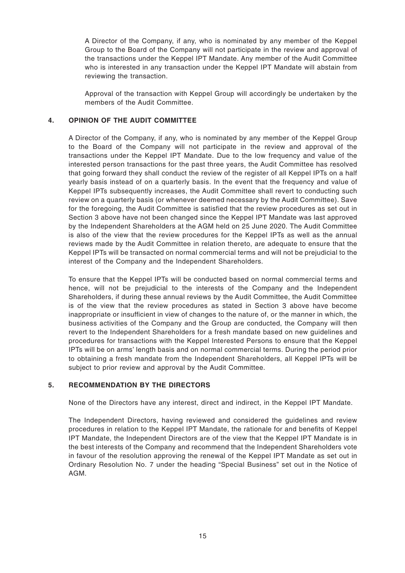A Director of the Company, if any, who is nominated by any member of the Keppel Group to the Board of the Company will not participate in the review and approval of the transactions under the Keppel IPT Mandate. Any member of the Audit Committee who is interested in any transaction under the Keppel IPT Mandate will abstain from reviewing the transaction.

Approval of the transaction with Keppel Group will accordingly be undertaken by the members of the Audit Committee.

## **4. OPINION OF THE AUDIT COMMITTEE**

A Director of the Company, if any, who is nominated by any member of the Keppel Group to the Board of the Company will not participate in the review and approval of the transactions under the Keppel IPT Mandate. Due to the low frequency and value of the interested person transactions for the past three years, the Audit Committee has resolved that going forward they shall conduct the review of the register of all Keppel IPTs on a half yearly basis instead of on a quarterly basis. In the event that the frequency and value of Keppel IPTs subsequently increases, the Audit Committee shall revert to conducting such review on a quarterly basis (or whenever deemed necessary by the Audit Committee). Save for the foregoing, the Audit Committee is satisfied that the review procedures as set out in Section 3 above have not been changed since the Keppel IPT Mandate was last approved by the Independent Shareholders at the AGM held on 25 June 2020. The Audit Committee is also of the view that the review procedures for the Keppel IPTs as well as the annual reviews made by the Audit Committee in relation thereto, are adequate to ensure that the Keppel IPTs will be transacted on normal commercial terms and will not be prejudicial to the interest of the Company and the Independent Shareholders.

To ensure that the Keppel IPTs will be conducted based on normal commercial terms and hence, will not be prejudicial to the interests of the Company and the Independent Shareholders, if during these annual reviews by the Audit Committee, the Audit Committee is of the view that the review procedures as stated in Section 3 above have become inappropriate or insufficient in view of changes to the nature of, or the manner in which, the business activities of the Company and the Group are conducted, the Company will then revert to the Independent Shareholders for a fresh mandate based on new guidelines and procedures for transactions with the Keppel Interested Persons to ensure that the Keppel IPTs will be on arms' length basis and on normal commercial terms. During the period prior to obtaining a fresh mandate from the Independent Shareholders, all Keppel IPTs will be subject to prior review and approval by the Audit Committee.

## **5. RECOMMENDATION BY THE DIRECTORS**

None of the Directors have any interest, direct and indirect, in the Keppel IPT Mandate.

The Independent Directors, having reviewed and considered the guidelines and review procedures in relation to the Keppel IPT Mandate, the rationale for and benefits of Keppel IPT Mandate, the Independent Directors are of the view that the Keppel IPT Mandate is in the best interests of the Company and recommend that the Independent Shareholders vote in favour of the resolution approving the renewal of the Keppel IPT Mandate as set out in Ordinary Resolution No. 7 under the heading "Special Business" set out in the Notice of AGM.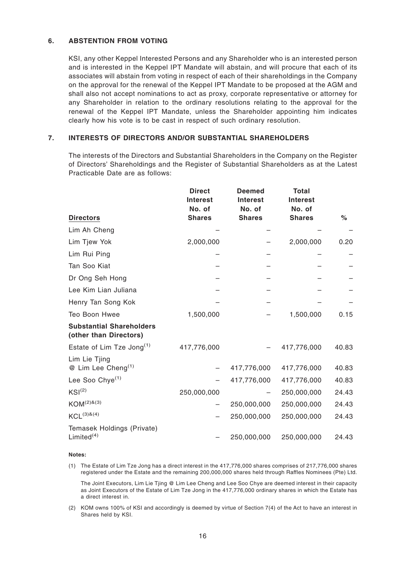## **6. ABSTENTION FROM VOTING**

KSI, any other Keppel Interested Persons and any Shareholder who is an interested person and is interested in the Keppel IPT Mandate will abstain, and will procure that each of its associates will abstain from voting in respect of each of their shareholdings in the Company on the approval for the renewal of the Keppel IPT Mandate to be proposed at the AGM and shall also not accept nominations to act as proxy, corporate representative or attorney for any Shareholder in relation to the ordinary resolutions relating to the approval for the renewal of the Keppel IPT Mandate, unless the Shareholder appointing him indicates clearly how his vote is to be cast in respect of such ordinary resolution.

## **7. INTERESTS OF DIRECTORS AND/OR SUBSTANTIAL SHAREHOLDERS**

The interests of the Directors and Substantial Shareholders in the Company on the Register of Directors' Shareholdings and the Register of Substantial Shareholders as at the Latest Practicable Date are as follows:

|                                                           | <b>Direct</b><br><b>Interest</b><br>No. of | <b>Deemed</b><br><b>Interest</b><br>No. of | Total<br><b>Interest</b><br>No. of |       |
|-----------------------------------------------------------|--------------------------------------------|--------------------------------------------|------------------------------------|-------|
| <b>Directors</b>                                          | <b>Shares</b>                              | <b>Shares</b>                              | <b>Shares</b>                      | $\%$  |
| Lim Ah Cheng                                              |                                            |                                            |                                    |       |
| Lim Tjew Yok                                              | 2,000,000                                  |                                            | 2,000,000                          | 0.20  |
| Lim Rui Ping                                              |                                            |                                            |                                    |       |
| Tan Soo Kiat                                              |                                            |                                            |                                    |       |
| Dr Ong Seh Hong                                           |                                            |                                            |                                    |       |
| Lee Kim Lian Juliana                                      |                                            |                                            |                                    |       |
| Henry Tan Song Kok                                        |                                            |                                            |                                    |       |
| Teo Boon Hwee                                             | 1,500,000                                  |                                            | 1,500,000                          | 0.15  |
| <b>Substantial Shareholders</b><br>(other than Directors) |                                            |                                            |                                    |       |
| Estate of Lim Tze Jong <sup>(1)</sup>                     | 417,776,000                                |                                            | 417,776,000                        | 40.83 |
| Lim Lie Tjing<br>@ Lim Lee Cheng <sup>(1)</sup>           |                                            | 417,776,000                                | 417,776,000                        | 40.83 |
| Lee Soo Chye <sup>(1)</sup>                               |                                            | 417,776,000                                | 417,776,000                        | 40.83 |
| KSI <sup>(2)</sup>                                        | 250,000,000                                |                                            | 250,000,000                        | 24.43 |
| $KOM^{(2)\&(3)}$                                          |                                            | 250,000,000                                | 250,000,000                        | 24.43 |
| $KCL^{(3) \& (4)}$                                        |                                            | 250,000,000                                | 250,000,000                        | 24.43 |
| Temasek Holdings (Private)<br>Limited $(4)$               |                                            | 250,000,000                                | 250,000,000                        | 24.43 |

#### **Notes:**

(1) The Estate of Lim Tze Jong has a direct interest in the 417,776,000 shares comprises of 217,776,000 shares registered under the Estate and the remaining 200,000,000 shares held through Raffles Nominees (Pte) Ltd.

The Joint Executors, Lim Lie Tjing @ Lim Lee Cheng and Lee Soo Chye are deemed interest in their capacity as Joint Executors of the Estate of Lim Tze Jong in the 417,776,000 ordinary shares in which the Estate has a direct interest in.

(2) KOM owns 100% of KSI and accordingly is deemed by virtue of Section 7(4) of the Act to have an interest in Shares held by KSI.